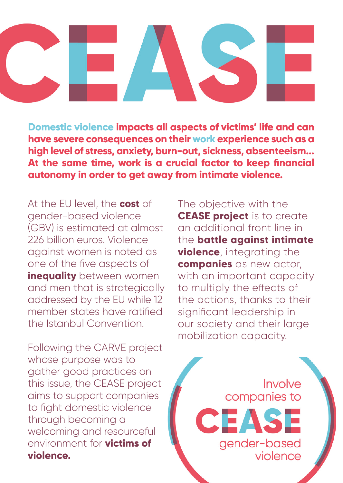## **Domestic violence impacts all aspects of victims' life and can have severe consequences on their work experience such as a high level of stress, anxiety, burn-out, sickness, absenteeism... At the same time, work is a crucial factor to keep financial autonomy in order to get away from intimate violence.**

At the EU level, the **cost** of gender-based violence (GBV) is estimated at almost 226 billion euros. Violence against women is noted as one of the five aspects of **inequality** between women and men that is strategically addressed by the EU while 12 member states have ratified the Istanbul Convention.

Following the CARVE project whose purpose was to gather good practices on this issue, the CEASE project aims to support companies to fight domestic violence through becoming a welcoming and resourceful environment for **victims of violence.**

The objective with the **CEASE project** is to create an additional front line in the **battle against intimate violence**, integrating the **companies** as new actor. with an important capacity to multiply the effects of the actions, thanks to their significant leadership in our society and their large mobilization capacity.